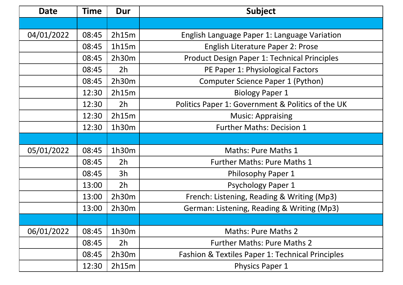| <b>Date</b> | <b>Time</b> | Dur            | Subject                                             |
|-------------|-------------|----------------|-----------------------------------------------------|
|             |             |                |                                                     |
| 04/01/2022  | 08:45       | 2h15m          | English Language Paper 1: Language Variation        |
|             | 08:45       | 1h15m          | English Literature Paper 2: Prose                   |
|             | 08:45       | 2h30m          | <b>Product Design Paper 1: Technical Principles</b> |
|             | 08:45       | 2 <sub>h</sub> | PE Paper 1: Physiological Factors                   |
|             | 08:45       | 2h30m          | Computer Science Paper 1 (Python)                   |
|             | 12:30       | 2h15m          | <b>Biology Paper 1</b>                              |
|             | 12:30       | 2 <sub>h</sub> | Politics Paper 1: Government & Politics of the UK   |
|             | 12:30       | 2h15m          | <b>Music: Appraising</b>                            |
|             | 12:30       | 1h30m          | <b>Further Maths: Decision 1</b>                    |
|             |             |                |                                                     |
| 05/01/2022  | 08:45       | 1h30m          | Maths: Pure Maths 1                                 |
|             | 08:45       | 2 <sub>h</sub> | <b>Further Maths: Pure Maths 1</b>                  |
|             | 08:45       | 3h             | Philosophy Paper 1                                  |
|             | 13:00       | 2 <sub>h</sub> | <b>Psychology Paper 1</b>                           |
|             | 13:00       | 2h30m          | French: Listening, Reading & Writing (Mp3)          |
|             | 13:00       | 2h30m          | German: Listening, Reading & Writing (Mp3)          |
|             |             |                |                                                     |
| 06/01/2022  | 08:45       | 1h30m          | <b>Maths: Pure Maths 2</b>                          |
|             | 08:45       | 2h             | <b>Further Maths: Pure Maths 2</b>                  |
|             | 08:45       | 2h30m          | Fashion & Textiles Paper 1: Technical Principles    |
|             | 12:30       | 2h15m          | <b>Physics Paper 1</b>                              |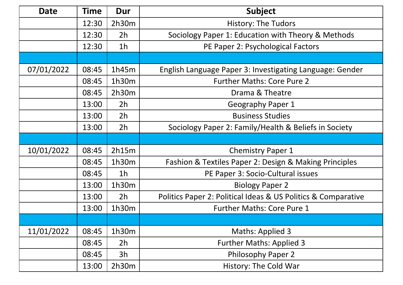| <b>Date</b> | <b>Time</b> | Dur            | Subject                                                       |
|-------------|-------------|----------------|---------------------------------------------------------------|
|             | 12:30       | 2h30m          | <b>History: The Tudors</b>                                    |
|             | 12:30       | 2 <sub>h</sub> | Sociology Paper 1: Education with Theory & Methods            |
|             | 12:30       | 1 <sub>h</sub> | PE Paper 2: Psychological Factors                             |
|             |             |                |                                                               |
| 07/01/2022  | 08:45       | 1h45m          | English Language Paper 3: Investigating Language: Gender      |
|             | 08:45       | 1h30m          | <b>Further Maths: Core Pure 2</b>                             |
|             | 08:45       | 2h30m          | Drama & Theatre                                               |
|             | 13:00       | 2 <sub>h</sub> | Geography Paper 1                                             |
|             | 13:00       | 2 <sub>h</sub> | <b>Business Studies</b>                                       |
|             | 13:00       | 2 <sub>h</sub> | Sociology Paper 2: Family/Health & Beliefs in Society         |
|             |             |                |                                                               |
| 10/01/2022  | 08:45       | 2h15m          | <b>Chemistry Paper 1</b>                                      |
|             | 08:45       | 1h30m          | Fashion & Textiles Paper 2: Design & Making Principles        |
|             | 08:45       | 1 <sub>h</sub> | PE Paper 3: Socio-Cultural issues                             |
|             | 13:00       | 1h30m          | <b>Biology Paper 2</b>                                        |
|             | 13:00       | 2 <sub>h</sub> | Politics Paper 2: Political Ideas & US Politics & Comparative |
|             | 13:00       | 1h30m          | <b>Further Maths: Core Pure 1</b>                             |
|             |             |                |                                                               |
| 11/01/2022  | 08:45       | 1h30m          | <b>Maths: Applied 3</b>                                       |
|             | 08:45       | 2h             | <b>Further Maths: Applied 3</b>                               |
|             | 08:45       | 3h             | <b>Philosophy Paper 2</b>                                     |
|             | 13:00       | 2h30m          | History: The Cold War                                         |